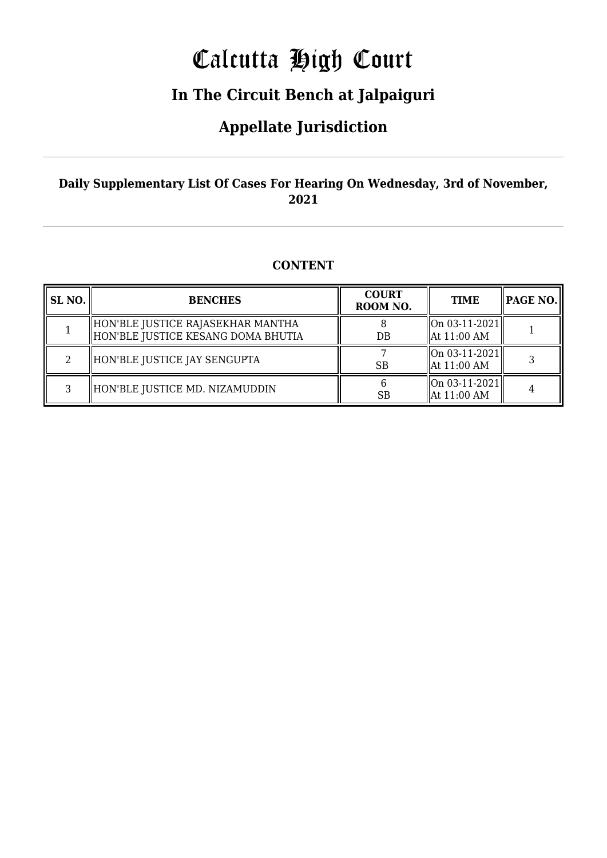# Calcutta High Court

## **In The Circuit Bench at Jalpaiguri**

### **Appellate Jurisdiction**

### **Daily Supplementary List Of Cases For Hearing On Wednesday, 3rd of November, 2021**

### **CONTENT**

| SL NO. | <b>BENCHES</b>                                                          | <b>COURT</b><br>ROOM NO. | <b>TIME</b>                               | <b>PAGE NO.</b> |
|--------|-------------------------------------------------------------------------|--------------------------|-------------------------------------------|-----------------|
|        | HON'BLE JUSTICE RAJASEKHAR MANTHA<br>HON'BLE JUSTICE KESANG DOMA BHUTIA | $DB$                     | On 03-11-2021 <br>$\parallel$ At 11:00 AM |                 |
| 2      | HON'BLE JUSTICE JAY SENGUPTA                                            | SB                       | On 03-11-2021 <br>$\parallel$ At 11:00 AM |                 |
| 3      | HON'BLE JUSTICE MD. NIZAMUDDIN                                          | <b>SB</b>                | On 03-11-2021 <br>$\parallel$ At 11:00 AM |                 |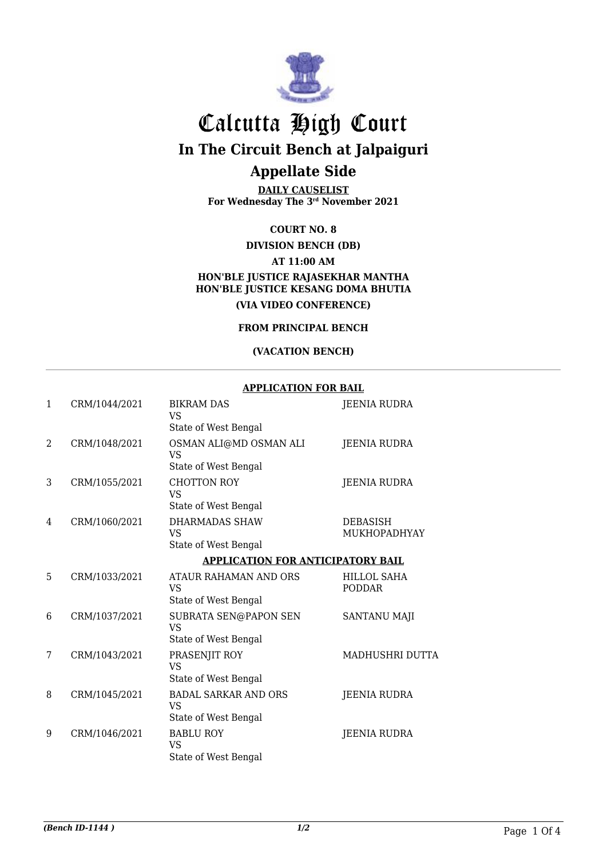

# Calcutta High Court

**In The Circuit Bench at Jalpaiguri**

### **Appellate Side**

**DAILY CAUSELIST For Wednesday The 3rd November 2021**

**COURT NO. 8**

**DIVISION BENCH (DB)**

**AT 11:00 AM**

#### **HON'BLE JUSTICE RAJASEKHAR MANTHA HON'BLE JUSTICE KESANG DOMA BHUTIA (VIA VIDEO CONFERENCE)**

**FROM PRINCIPAL BENCH**

#### **(VACATION BENCH)**

#### **APPLICATION FOR BAIL**

| 1             | CRM/1044/2021 | <b>BIKRAM DAS</b><br><b>VS</b><br>State of West Bengal           | JEENIA RUDRA                        |
|---------------|---------------|------------------------------------------------------------------|-------------------------------------|
| $\mathcal{L}$ | CRM/1048/2021 | OSMAN ALI@MD OSMAN ALI<br><b>VS</b><br>State of West Bengal      | JEENIA RUDRA                        |
| 3             | CRM/1055/2021 | <b>CHOTTON ROY</b><br><b>VS</b><br>State of West Bengal          | <b>JEENIA RUDRA</b>                 |
| 4             | CRM/1060/2021 | <b>DHARMADAS SHAW</b><br>VS<br>State of West Bengal              | <b>DEBASISH</b><br>MUKHOPADHYAY     |
|               |               | <b>APPLICATION FOR ANTICIPATORY BAIL</b>                         |                                     |
| 5             | CRM/1033/2021 | ATAUR RAHAMAN AND ORS<br><b>VS</b><br>State of West Bengal       | <b>HILLOL SAHA</b><br><b>PODDAR</b> |
| 6             | CRM/1037/2021 | SUBRATA SEN@PAPON SEN<br><b>VS</b><br>State of West Bengal       | SANTANU MAJI                        |
| 7             | CRM/1043/2021 | PRASENJIT ROY<br><b>VS</b><br>State of West Bengal               | MADHUSHRI DUTTA                     |
| 8             | CRM/1045/2021 | <b>BADAL SARKAR AND ORS</b><br><b>VS</b><br>State of West Bengal | <b>JEENIA RUDRA</b>                 |
| 9             | CRM/1046/2021 | <b>BABLU ROY</b><br><b>VS</b><br>State of West Bengal            | JEENIA RUDRA                        |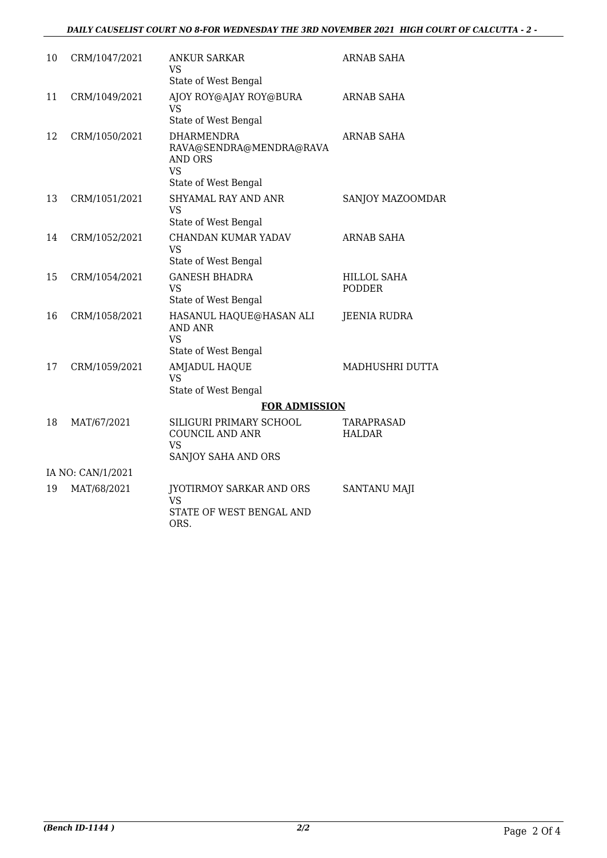#### *DAILY CAUSELIST COURT NO 8-FOR WEDNESDAY THE 3RD NOVEMBER 2021 HIGH COURT OF CALCUTTA - 2 -*

| 10                | CRM/1047/2021 | ANKUR SARKAR<br><b>VS</b>                                                                    | ARNAB SAHA                          |  |
|-------------------|---------------|----------------------------------------------------------------------------------------------|-------------------------------------|--|
|                   |               | State of West Bengal                                                                         |                                     |  |
| 11                | CRM/1049/2021 | AJOY ROY@AJAY ROY@BURA<br><b>VS</b><br>State of West Bengal                                  | <b>ARNAB SAHA</b>                   |  |
| 12                | CRM/1050/2021 | <b>DHARMENDRA</b><br>RAVA@SENDRA@MENDRA@RAVA<br>AND ORS<br><b>VS</b><br>State of West Bengal | <b>ARNAB SAHA</b>                   |  |
| 13                | CRM/1051/2021 | SHYAMAL RAY AND ANR<br><b>VS</b><br>State of West Bengal                                     | SANJOY MAZOOMDAR                    |  |
| 14                | CRM/1052/2021 | CHANDAN KUMAR YADAV<br><b>VS</b><br>State of West Bengal                                     | <b>ARNAB SAHA</b>                   |  |
| 15                | CRM/1054/2021 | <b>GANESH BHADRA</b><br><b>VS</b><br>State of West Bengal                                    | <b>HILLOL SAHA</b><br><b>PODDER</b> |  |
| 16                | CRM/1058/2021 | HASANUL HAQUE@HASAN ALI<br><b>AND ANR</b><br><b>VS</b><br>State of West Bengal               | <b>JEENIA RUDRA</b>                 |  |
| 17                | CRM/1059/2021 | AMJADUL HAQUE<br><b>VS</b><br>State of West Bengal                                           | MADHUSHRI DUTTA                     |  |
|                   |               | <b>FOR ADMISSION</b>                                                                         |                                     |  |
| 18                | MAT/67/2021   | SILIGURI PRIMARY SCHOOL<br><b>COUNCIL AND ANR</b><br><b>VS</b><br>SANJOY SAHA AND ORS        | TARAPRASAD<br><b>HALDAR</b>         |  |
| IA NO: CAN/1/2021 |               |                                                                                              |                                     |  |
| 19                | MAT/68/2021   | JYOTIRMOY SARKAR AND ORS<br><b>VS</b><br>STATE OF WEST BENGAL AND<br>ORS.                    | <b>SANTANU MAJI</b>                 |  |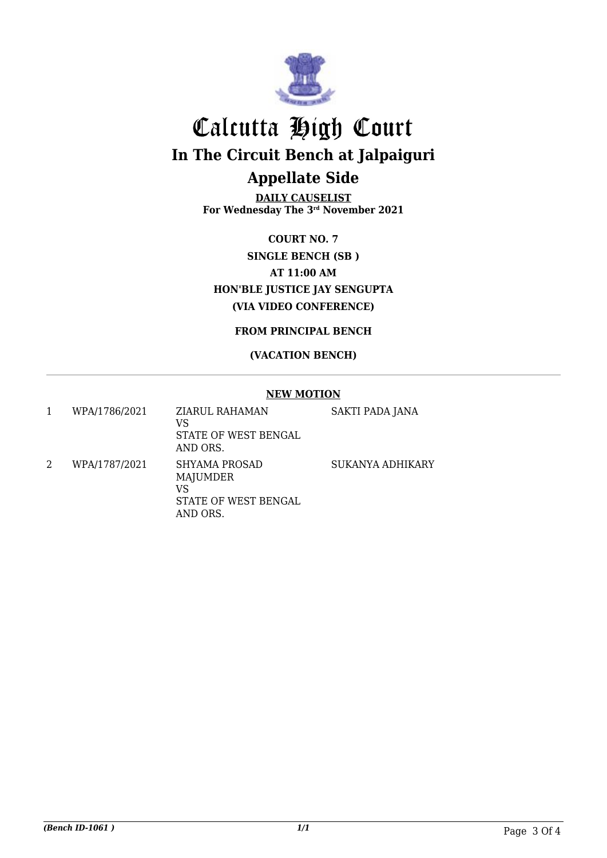

# Calcutta High Court **In The Circuit Bench at Jalpaiguri Appellate Side**

**DAILY CAUSELIST For Wednesday The 3rd November 2021**

**COURT NO. 7 SINGLE BENCH (SB ) AT 11:00 AM HON'BLE JUSTICE JAY SENGUPTA (VIA VIDEO CONFERENCE)**

**FROM PRINCIPAL BENCH**

#### **(VACATION BENCH)**

#### **NEW MOTION**

| 1 | WPA/1786/2021 | ZIARUL RAHAMAN<br>VS<br>STATE OF WEST BENGAL<br>AND ORS.                   | <b>SAKTI PADA JANA</b> |
|---|---------------|----------------------------------------------------------------------------|------------------------|
|   | WPA/1787/2021 | SHYAMA PROSAD<br><b>MAJUMDER</b><br>VS<br>STATE OF WEST BENGAL<br>AND ORS. | SUKANYA ADHIKARY       |